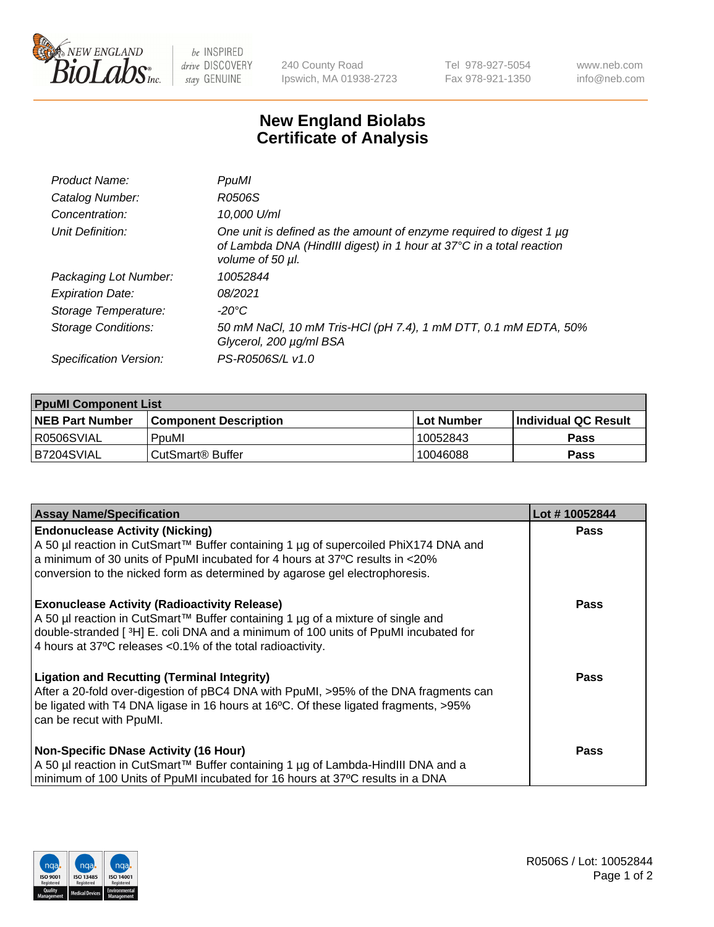

 $be$  INSPIRED drive DISCOVERY stay GENUINE

240 County Road Ipswich, MA 01938-2723 Tel 978-927-5054 Fax 978-921-1350 www.neb.com info@neb.com

## **New England Biolabs Certificate of Analysis**

| Product Name:              | PpuMI                                                                                                                                                           |
|----------------------------|-----------------------------------------------------------------------------------------------------------------------------------------------------------------|
| Catalog Number:            | R0506S                                                                                                                                                          |
| Concentration:             | 10,000 U/ml                                                                                                                                                     |
| Unit Definition:           | One unit is defined as the amount of enzyme required to digest 1 µg<br>of Lambda DNA (HindIII digest) in 1 hour at 37°C in a total reaction<br>volume of 50 µl. |
| Packaging Lot Number:      | 10052844                                                                                                                                                        |
| <b>Expiration Date:</b>    | 08/2021                                                                                                                                                         |
| Storage Temperature:       | -20°C                                                                                                                                                           |
| <b>Storage Conditions:</b> | 50 mM NaCl, 10 mM Tris-HCl (pH 7.4), 1 mM DTT, 0.1 mM EDTA, 50%<br>Glycerol, 200 µg/ml BSA                                                                      |
| Specification Version:     | PS-R0506S/L v1.0                                                                                                                                                |

| <b>PpuMI Component List</b> |                              |             |                       |  |  |
|-----------------------------|------------------------------|-------------|-----------------------|--|--|
| <b>NEB Part Number</b>      | <b>Component Description</b> | ⊺Lot Number | ∣Individual QC Result |  |  |
| R0506SVIAL                  | PpuMI                        | 10052843    | Pass                  |  |  |
| IB7204SVIAL                 | l CutSmart® Buffer           | 10046088    | <b>Pass</b>           |  |  |

| <b>Assay Name/Specification</b>                                                                                                                                                                                                                                                               | Lot #10052844 |
|-----------------------------------------------------------------------------------------------------------------------------------------------------------------------------------------------------------------------------------------------------------------------------------------------|---------------|
| <b>Endonuclease Activity (Nicking)</b><br>  A 50 µl reaction in CutSmart™ Buffer containing 1 µg of supercoiled PhiX174 DNA and                                                                                                                                                               | <b>Pass</b>   |
| a minimum of 30 units of PpuMI incubated for 4 hours at 37°C results in $\langle 20\%$<br>conversion to the nicked form as determined by agarose gel electrophoresis.                                                                                                                         |               |
| <b>Exonuclease Activity (Radioactivity Release)</b><br>  A 50 µl reaction in CutSmart™ Buffer containing 1 µg of a mixture of single and<br>double-stranded [3H] E. coli DNA and a minimum of 100 units of PpuMI incubated for<br>4 hours at 37°C releases < 0.1% of the total radioactivity. | <b>Pass</b>   |
| <b>Ligation and Recutting (Terminal Integrity)</b><br>After a 20-fold over-digestion of pBC4 DNA with PpuMI, >95% of the DNA fragments can<br>be ligated with T4 DNA ligase in 16 hours at 16°C. Of these ligated fragments, >95%<br>can be recut with PpuMI.                                 | Pass          |
| <b>Non-Specific DNase Activity (16 Hour)</b>                                                                                                                                                                                                                                                  | <b>Pass</b>   |
| A 50 µl reaction in CutSmart™ Buffer containing 1 µg of Lambda-HindIII DNA and a<br>minimum of 100 Units of PpuMI incubated for 16 hours at 37°C results in a DNA                                                                                                                             |               |